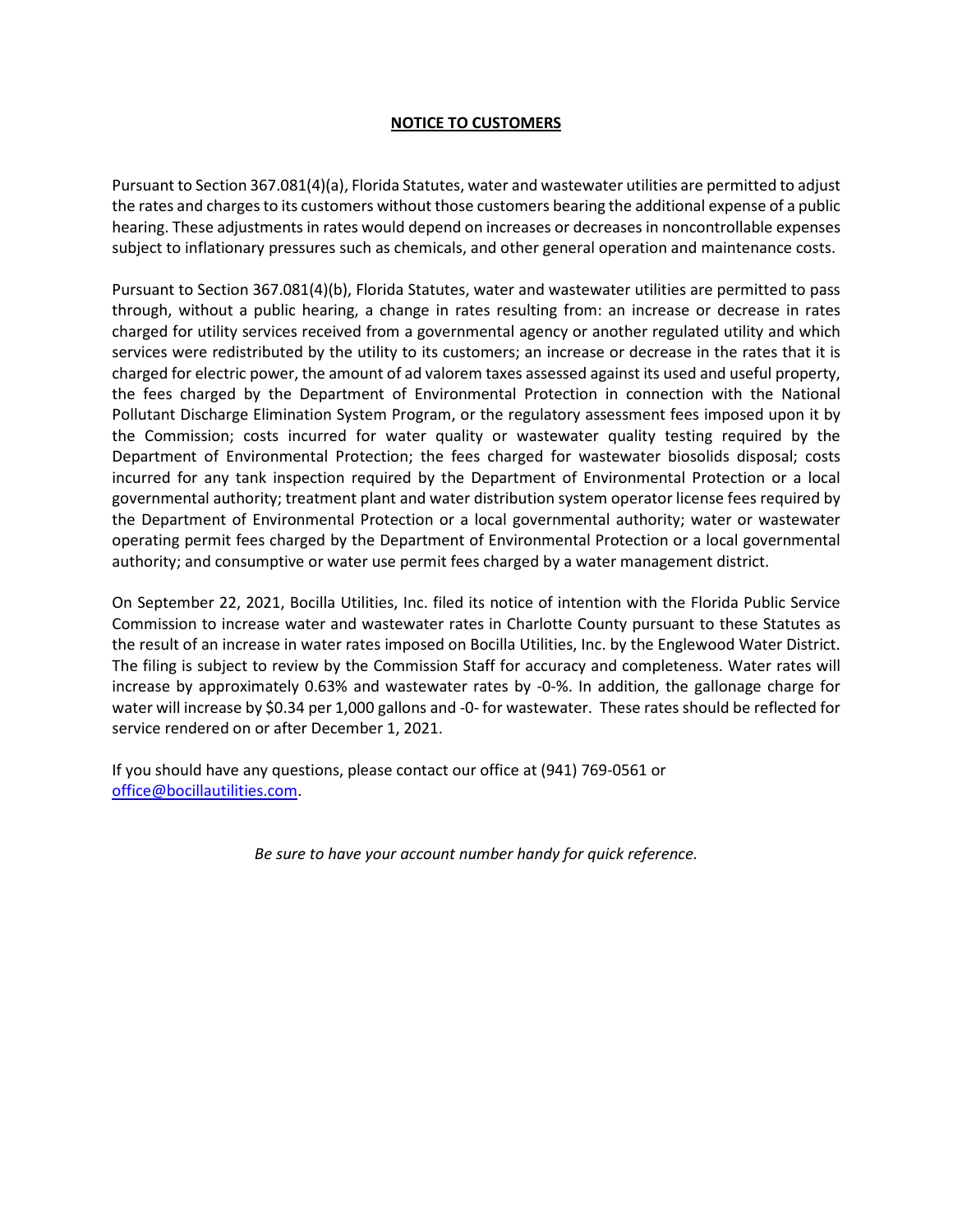## **NOTICE TO CUSTOMERS**

Pursuant to Section 367.081(4)(a), Florida Statutes, water and wastewater utilities are permitted to adjust the rates and charges to its customers without those customers bearing the additional expense of a public hearing. These adjustments in rates would depend on increases or decreases in noncontrollable expenses subject to inflationary pressures such as chemicals, and other general operation and maintenance costs.

Pursuant to Section 367.081(4)(b), Florida Statutes, water and wastewater utilities are permitted to pass through, without a public hearing, a change in rates resulting from: an increase or decrease in rates charged for utility services received from a governmental agency or another regulated utility and which services were redistributed by the utility to its customers; an increase or decrease in the rates that it is charged for electric power, the amount of ad valorem taxes assessed against its used and useful property, the fees charged by the Department of Environmental Protection in connection with the National Pollutant Discharge Elimination System Program, or the regulatory assessment fees imposed upon it by the Commission; costs incurred for water quality or wastewater quality testing required by the Department of Environmental Protection; the fees charged for wastewater biosolids disposal; costs incurred for any tank inspection required by the Department of Environmental Protection or a local governmental authority; treatment plant and water distribution system operator license fees required by the Department of Environmental Protection or a local governmental authority; water or wastewater operating permit fees charged by the Department of Environmental Protection or a local governmental authority; and consumptive or water use permit fees charged by a water management district.

On September 22, 2021, Bocilla Utilities, Inc. filed its notice of intention with the Florida Public Service Commission to increase water and wastewater rates in Charlotte County pursuant to these Statutes as the result of an increase in water rates imposed on Bocilla Utilities, Inc. by the Englewood Water District. The filing is subject to review by the Commission Staff for accuracy and completeness. Water rates will increase by approximately 0.63% and wastewater rates by -0-%. In addition, the gallonage charge for water will increase by \$0.34 per 1,000 gallons and -0- for wastewater. These rates should be reflected for service rendered on or after December 1, 2021.

If you should have any questions, please contact our office at (941) 769-0561 or [office@bocillautilities.com.](mailto:office@bocillautilities.com)

*Be sure to have your account number handy for quick reference.*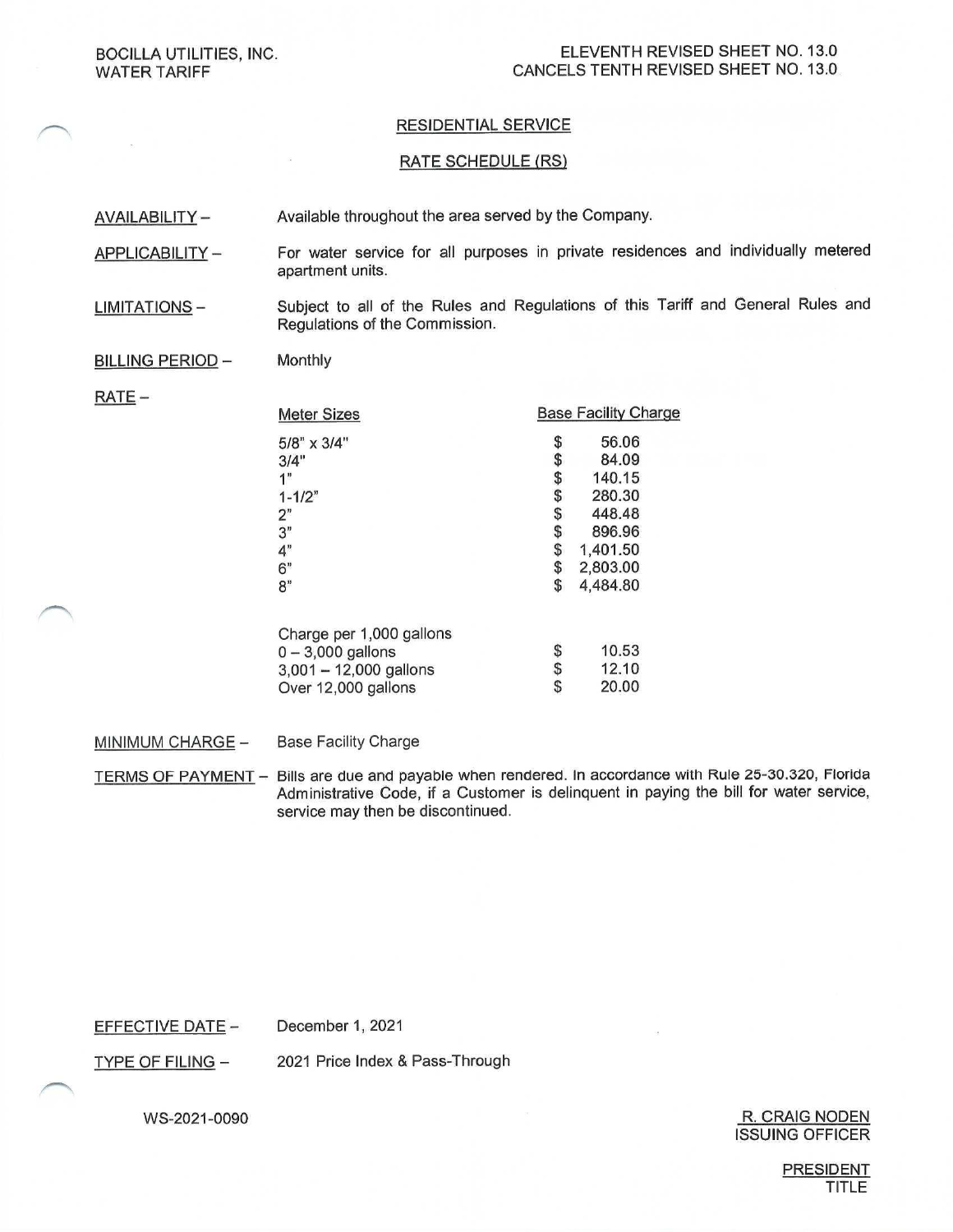## **RESIDENTIAL SERVICE**

### **RATE SCHEDULE (RS)**

Available throughout the area served by the Company. AVAILABILITY -

- For water service for all purposes in private residences and individually metered APPLICABILITY apartment units.
- Subject to all of the Rules and Regulations of this Tariff and General Rules and **LIMITATIONS-**Regulations of the Commission.

#### Monthly **BILLING PERIOD -**

 $RATE -$ 

| <b>Base Facility Charge</b>                  |
|----------------------------------------------|
| \$<br>56.06                                  |
| \$<br>84.09                                  |
| 140.15                                       |
| 280.30                                       |
| 448.48                                       |
| 896.96                                       |
| 1,401.50                                     |
| 2,803.00                                     |
| \$<br>4,484.80                               |
|                                              |
| 10.53                                        |
| 12.10                                        |
| \$<br>20.00                                  |
| \$<br>\$<br>\$<br>\$<br>\$<br>\$<br>\$<br>\$ |

**Base Facility Charge** MINIMUM CHARGE -

TERMS OF PAYMENT - Bills are due and payable when rendered. In accordance with Rule 25-30.320, Florida Administrative Code, if a Customer is delinquent in paying the bill for water service, service may then be discontinued.

**EFFECTIVE DATE -**December 1, 2021

**TYPE OF FILING -**2021 Price Index & Pass-Through

WS-2021-0090

#### R. CRAIG NODEN **ISSUING OFFICER**

**PRESIDENT TITLE**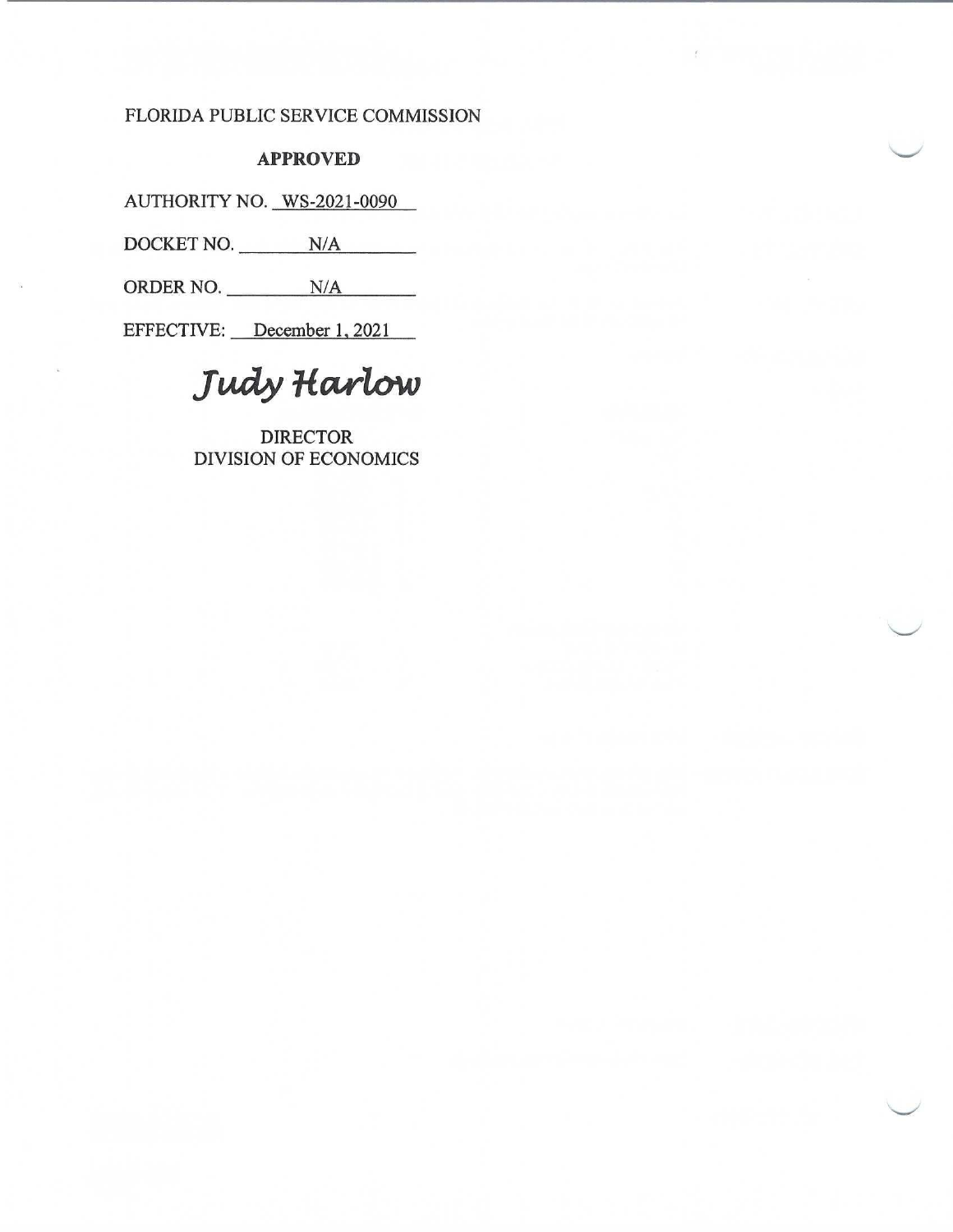# FLORIDA PUBLIC SERVICE COMMISSION

# **APPROVED**

AUTHORITY NO. WS-2021-0090

DOCKET NO. N/A

ORDER NO. N/A

EFFECTIVE: December 1, 2021

Judy Harlow

**DIRECTOR DIVISION OF ECONOMICS**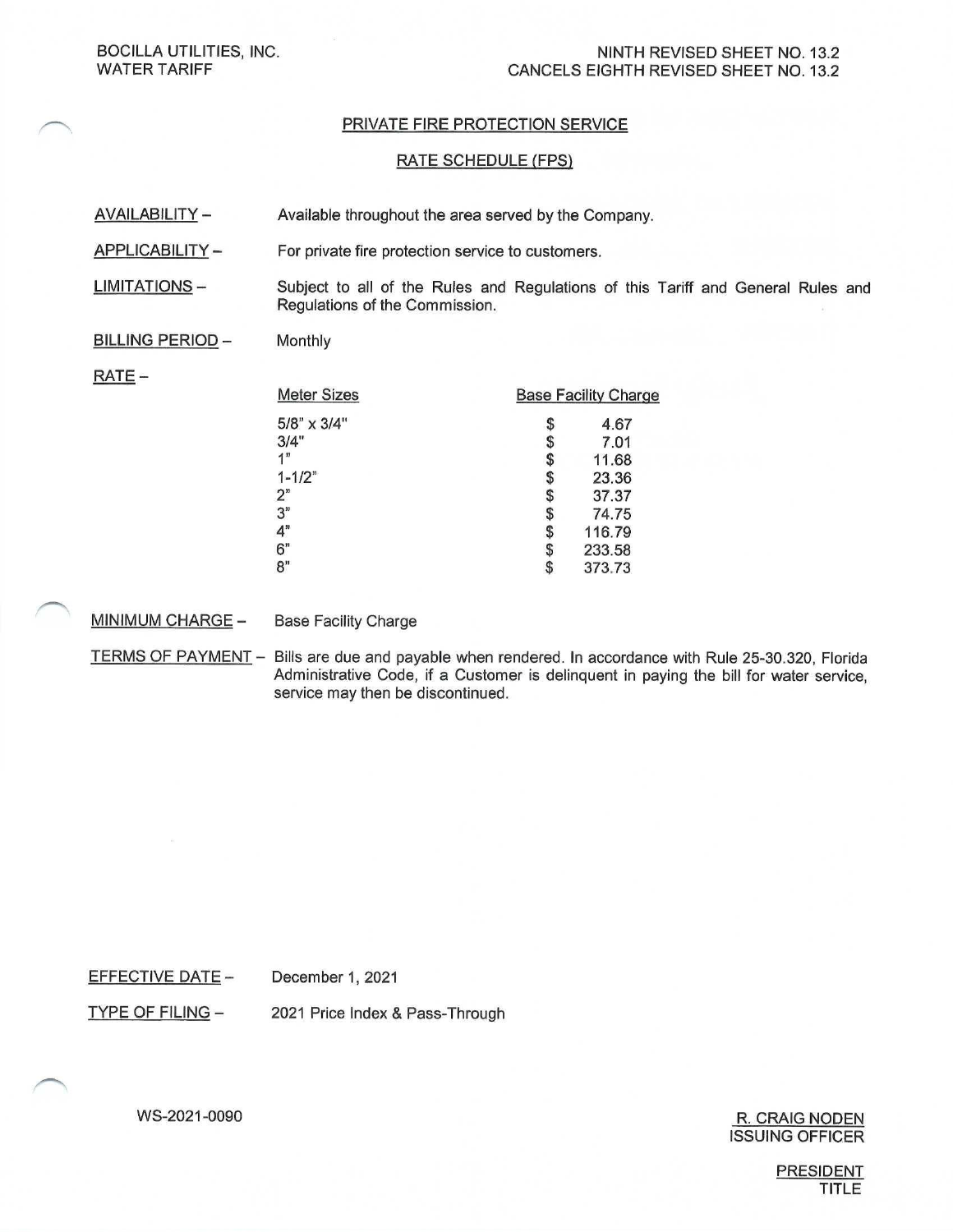**BOCILLA UTILITIES, INC. WATER TARIFF** 

### PRIVATE FIRE PROTECTION SERVICE

#### **RATE SCHEDULE (FPS)**

- **AVAILABILITY -**Available throughout the area served by the Company.
- APPLICABILITY-For private fire protection service to customers.
- **LIMITATIONS-**Subject to all of the Rules and Regulations of this Tariff and General Rules and Regulations of the Commission.

#### **BILLING PERIOD -**Monthly

### $RATE -$

| <b>Meter Sizes</b> | <b>Base Facility Charge</b> |        |
|--------------------|-----------------------------|--------|
| $5/8$ " x $3/4$ "  | S                           | 4.67   |
| 3/4"               | \$                          | 7.01   |
| 1"                 | \$                          | 11.68  |
| $1 - 1/2$ "        | S                           | 23.36  |
| 2"                 |                             | 37.37  |
| 3"                 | S                           | 74.75  |
| 4"                 | S                           | 116.79 |
| 6"                 |                             | 233.58 |
| 8"                 |                             | 373.73 |

MINIMUM CHARGE -**Base Facility Charge** 

TERMS OF PAYMENT - Bills are due and payable when rendered. In accordance with Rule 25-30.320, Florida Administrative Code, if a Customer is delinquent in paying the bill for water service, service may then be discontinued.

**EFFECTIVE DATE -**December 1, 2021

**TYPE OF FILING -**2021 Price Index & Pass-Through

> R. CRAIG NODEN **ISSUING OFFICER**

> > **PRESIDENT TITLE**

WS-2021-0090